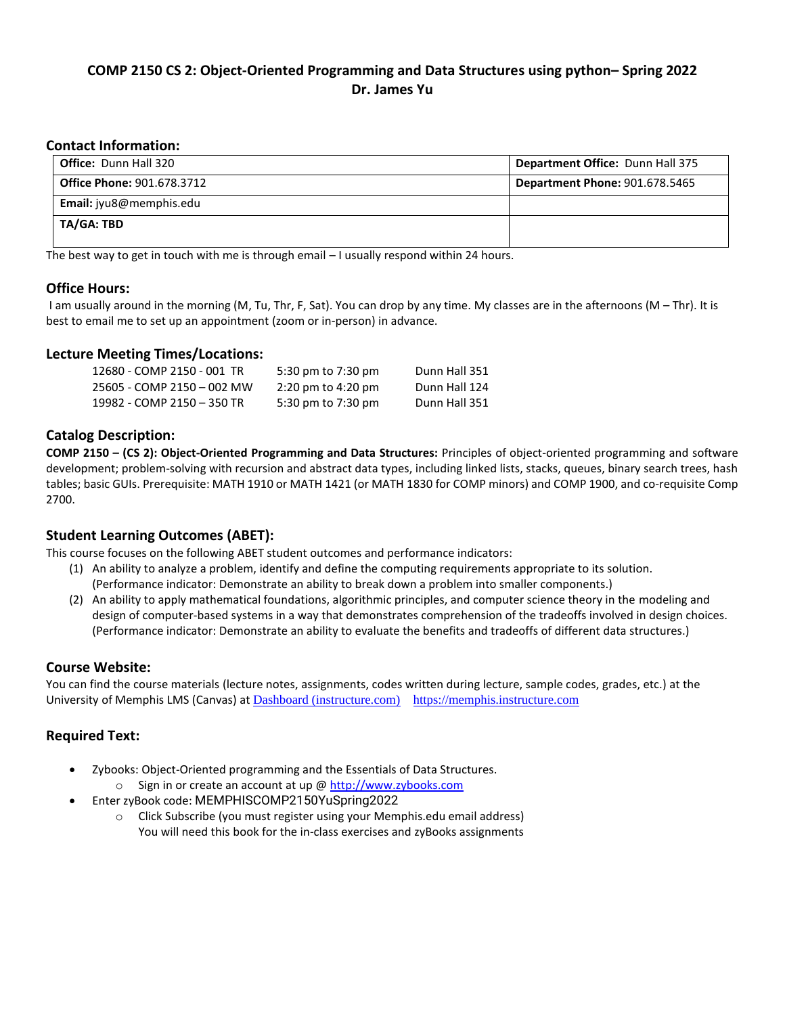# **COMP 2150 CS 2: Object-Oriented Programming and Data Structures using python– Spring 2022 Dr. James Yu**

#### **Contact Information:**

| <b>Office: Dunn Hall 320</b>      | <b>Department Office: Dunn Hall 375</b> |
|-----------------------------------|-----------------------------------------|
| <b>Office Phone: 901.678.3712</b> | <b>Department Phone: 901.678.5465</b>   |
| <b>Email:</b> jyu8@memphis.edu    |                                         |
| TA/GA: TBD                        |                                         |
|                                   |                                         |

The best way to get in touch with me is through email – I usually respond within 24 hours.

#### **Office Hours:**

I am usually around in the morning (M, Tu, Thr, F, Sat). You can drop by any time. My classes are in the afternoons (M – Thr). It is best to email me to set up an appointment (zoom or in-person) in advance.

### **Lecture Meeting Times/Locations:**

| 12680 - COMP 2150 - 001 TR | 5:30 pm to 7:30 pm                     | Dunn Hall 351 |
|----------------------------|----------------------------------------|---------------|
| 25605 - COMP 2150 - 002 MW | $2:20 \text{ pm}$ to $4:20 \text{ pm}$ | Dunn Hall 124 |
| 19982 - COMP 2150 - 350 TR | 5:30 pm to 7:30 pm                     | Dunn Hall 351 |

#### **Catalog Description:**

**COMP 2150 – (CS 2): Object-Oriented Programming and Data Structures:** Principles of object-oriented programming and software development; problem-solving with recursion and abstract data types, including linked lists, stacks, queues, binary search trees, hash tables; basic GUIs. Prerequisite: MATH 1910 or MATH 1421 (or MATH 1830 for COMP minors) and COMP 1900, and co-requisite Comp 2700.

## **Student Learning Outcomes (ABET):**

This course focuses on the following ABET student outcomes and performance indicators:

- (1) An ability to analyze a problem, identify and define the computing requirements appropriate to its solution. (Performance indicator: Demonstrate an ability to break down a problem into smaller components.)
- (2) An ability to apply mathematical foundations, algorithmic principles, and computer science theory in the modeling and design of computer-based systems in a way that demonstrates comprehension of the tradeoffs involved in design choices. (Performance indicator: Demonstrate an ability to evaluate the benefits and tradeoffs of different data structures.)

#### **Course Website:**

You can find the course materials (lecture notes, assignments, codes written during lecture, sample codes, grades, etc.) at the University of Memphis LMS (Canvas) at [Dashboard \(instructure.com\) https://memphis.instructure.com](https://memphis.instructure.com/)

## <span id="page-0-0"></span>**Required Text:**

- Zybooks: Object-Oriented programming and the Essentials of Data Structures.
	- o Sign in or create an account at up [@ http://www.zybooks.com](http://www.zybooks.com/)
- Enter zyBook code: MEMPHISCOMP2150YuSpring2022
	- o Click Subscribe (you must register using your Memphis.edu email address) You will need this book for the in-class exercises and zyBooks assignments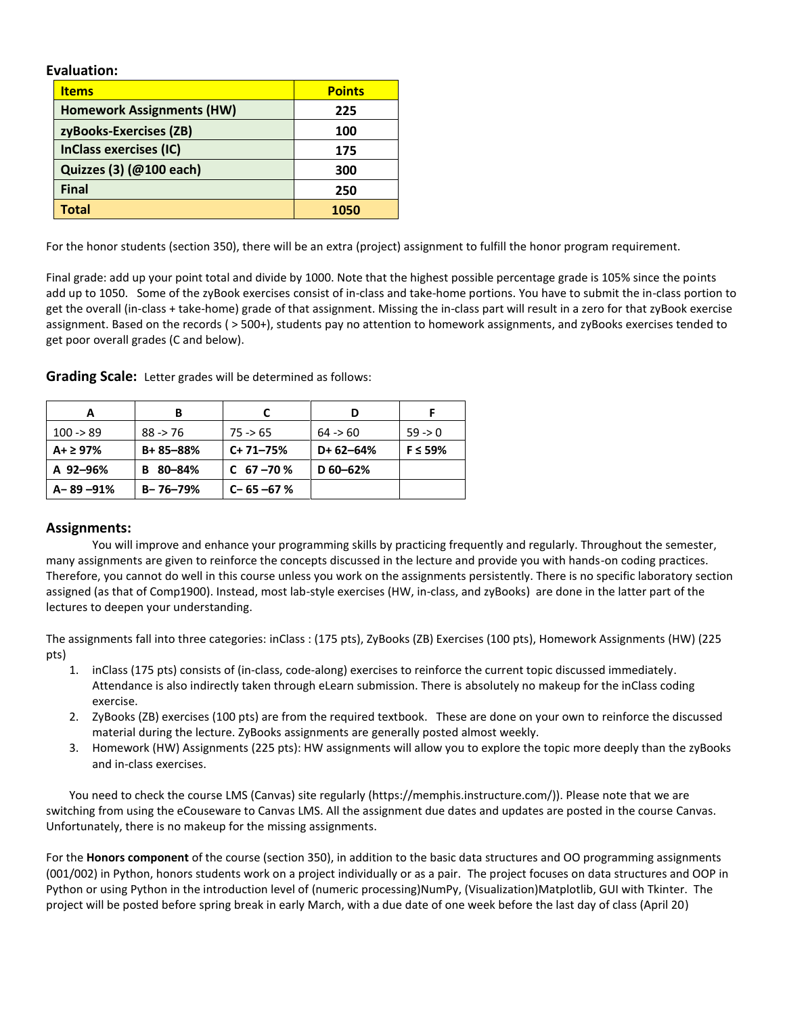**Evaluation:**

| <b>Items</b>                     | <b>Points</b> |
|----------------------------------|---------------|
| <b>Homework Assignments (HW)</b> | 225           |
| zyBooks-Exercises (ZB)           | 100           |
| <b>InClass exercises (IC)</b>    | 175           |
| Quizzes (3) (@100 each)          | 300           |
| <b>Final</b>                     | 250           |
| Total                            | 1050          |

For the honor students (section 350), there will be an extra (project) assignment to fulfill the honor program requirement.

Final grade: add up your point total and divide by 1000. Note that the highest possible percentage grade is 105% since the points add up to 1050. Some of the zyBook exercises consist of in-class and take-home portions. You have to submit the in-class portion to get the overall (in-class + take-home) grade of that assignment. Missing the in-class part will result in a zero for that zyBook exercise assignment. Based on the records ( > 500+), students pay no attention to homework assignments, and zyBooks exercises tended to get poor overall grades (C and below).

|                      | в              |                 |              |               |
|----------------------|----------------|-----------------|--------------|---------------|
| $100 \rightarrow 89$ | $88 - 76$      | $75 - 65$       | 64 > 60      | $59 - 0$      |
| $A + \geq 97\%$      | B+85-88%       | $C+71-75%$      | $D+62-64%$   | $F \leq 59\%$ |
| A 92-96%             | 80-84%<br>в    | C $67 - 70$ %   | $D 60 - 62%$ |               |
| $A - 89 - 91%$       | $B - 76 - 79%$ | $C - 65 - 67$ % |              |               |

**Grading Scale:** Letter grades will be determined as follows:

#### **Assignments:**

You will improve and enhance your programming skills by practicing frequently and regularly. Throughout the semester, many assignments are given to reinforce the concepts discussed in the lecture and provide you with hands-on coding practices. Therefore, you cannot do well in this course unless you work on the assignments persistently. There is no specific laboratory section assigned (as that of Comp1900). Instead, most lab-style exercises (HW, in-class, and zyBooks) are done in the latter part of the lectures to deepen your understanding.

The assignments fall into three categories: inClass : (175 pts), ZyBooks (ZB) Exercises (100 pts), Homework Assignments (HW) (225 pts)

- 1. inClass (175 pts) consists of (in-class, code-along) exercises to reinforce the current topic discussed immediately. Attendance is also indirectly taken through eLearn submission. There is absolutely no makeup for the inClass coding exercise.
- 2. ZyBooks (ZB) exercises (100 pts) are from the required textbook. These are done on your own to reinforce the discussed material during the lecture. ZyBooks assignments are generally posted almost weekly.
- 3. Homework (HW) Assignments (225 pts): HW assignments will allow you to explore the topic more deeply than the zyBooks and in-class exercises.

You need to check the course LMS (Canvas) site regularly [\(https://memphis.instructure.com/\)](https://memphis.instructure.com/)). Please note that we are switching from using the eCouseware to Canvas LMS. All the assignment due dates and updates are posted in the course Canvas. Unfortunately, there is no makeup for the missing assignments.

For the **Honors component** of the course (section 350), in addition to the basic data structures and OO programming assignments (001/002) in Python, honors students work on a project individually or as a pair. The project focuses on data structures and OOP in Python or using Python in the introduction level of (numeric processing)NumPy, (Visualization)Matplotlib, GUI with Tkinter. The project will be posted before spring break in early March, with a due date of one week before the last day of class (April 20)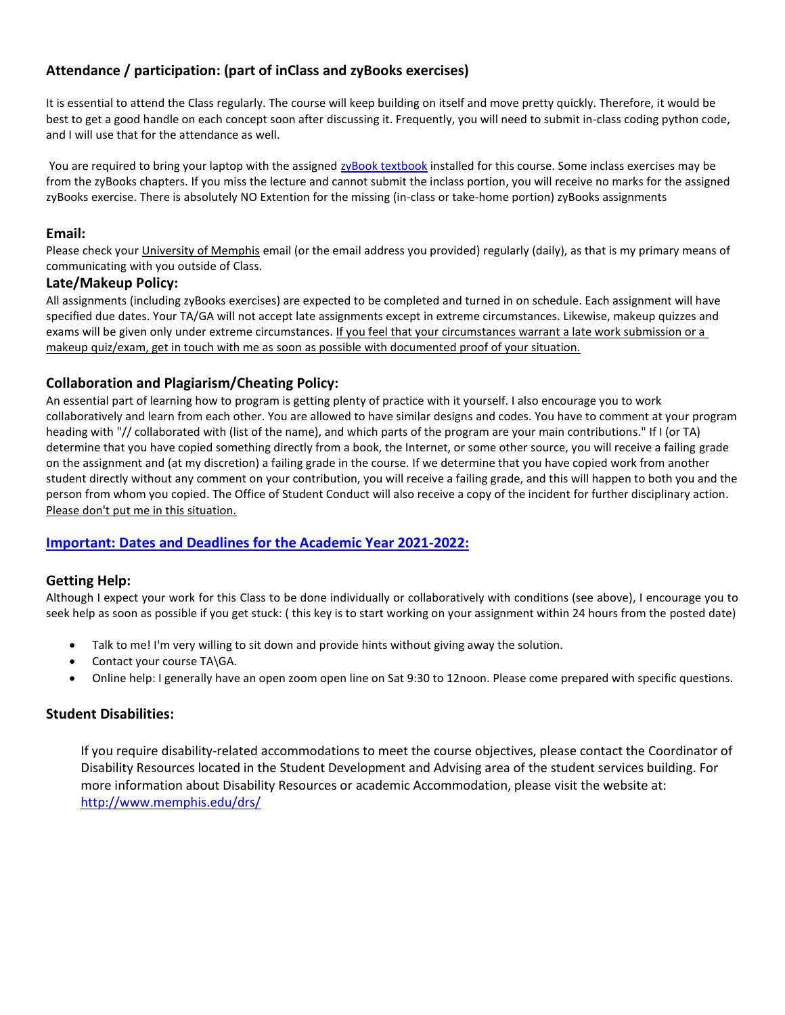# **Attendance / participation: (part of inClass and zyBooks exercises)**

It is essential to attend the Class regularly. The course will keep building on itself and move pretty quickly. Therefore, it would be best to get a good handle on each concept soon after discussing it. Frequently, you will need to submit in-class coding python code, and I will use that for the attendance as well.

You are required to bring your laptop with the assigned zyBook [textbook](#page-0-0) installed for this course. Some inclass exercises may be from the zyBooks chapters. If you miss the lecture and cannot submit the inclass portion, you will receive no marks for the assigned zyBooks exercise. There is absolutely NO Extention for the missing (in-class or take-home portion) zyBooks assignments

### **Email:**

Please check your University of Memphis email (or the email address you provided) regularly (daily), as that is my primary means of communicating with you outside of Class.

#### **Late/Makeup Policy:**

All assignments (including zyBooks exercises) are expected to be completed and turned in on schedule. Each assignment will have specified due dates. Your TA/GA will not accept late assignments except in extreme circumstances. Likewise, makeup quizzes and exams will be given only under extreme circumstances. If you feel that your circumstances warrant a late work submission or a makeup quiz/exam, get in touch with me as soon as possible with documented proof of your situation.

## **Collaboration and Plagiarism/Cheating Policy:**

An essential part of learning how to program is getting plenty of practice with it yourself. I also encourage you to work collaboratively and learn from each other. You are allowed to have similar designs and codes. You have to comment at your program heading with "// collaborated with (list of the name), and which parts of the program are your main contributions." If I (or TA) determine that you have copied something directly from a book, the Internet, or some other source, you will receive a failing grade on the assignment and (at my discretion) a failing grade in the course. If we determine that you have copied work from another student directly without any comment on your contribution, you will receive a failing grade, and this will happen to both you and the person from whom you copied. The Office of Student Conduct will also receive a copy of the incident for further disciplinary action. Please don't put me in this situation.

## **Important: [Dates and Deadlines for the Academic Year 2021-2022:](https://www.memphis.edu/registrar/calendars/dates/22s-dates.php)**

## **Getting Help:**

Although I expect your work for this Class to be done individually or collaboratively with conditions (see above), I encourage you to seek help as soon as possible if you get stuck: ( this key is to start working on your assignment within 24 hours from the posted date)

- Talk to me! I'm very willing to sit down and provide hints without giving away the solution.
- Contact your course TA\GA.
- Online help: I generally have an open zoom open line on Sat 9:30 to 12noon. Please come prepared with specific questions.

## **Student Disabilities:**

If you require disability-related accommodations to meet the course objectives, please contact the Coordinator of Disability Resources located in the Student Development and Advising area of the student services building. For more information about Disability Resources or academic Accommodation, please visit the website at: <http://www.memphis.edu/drs/>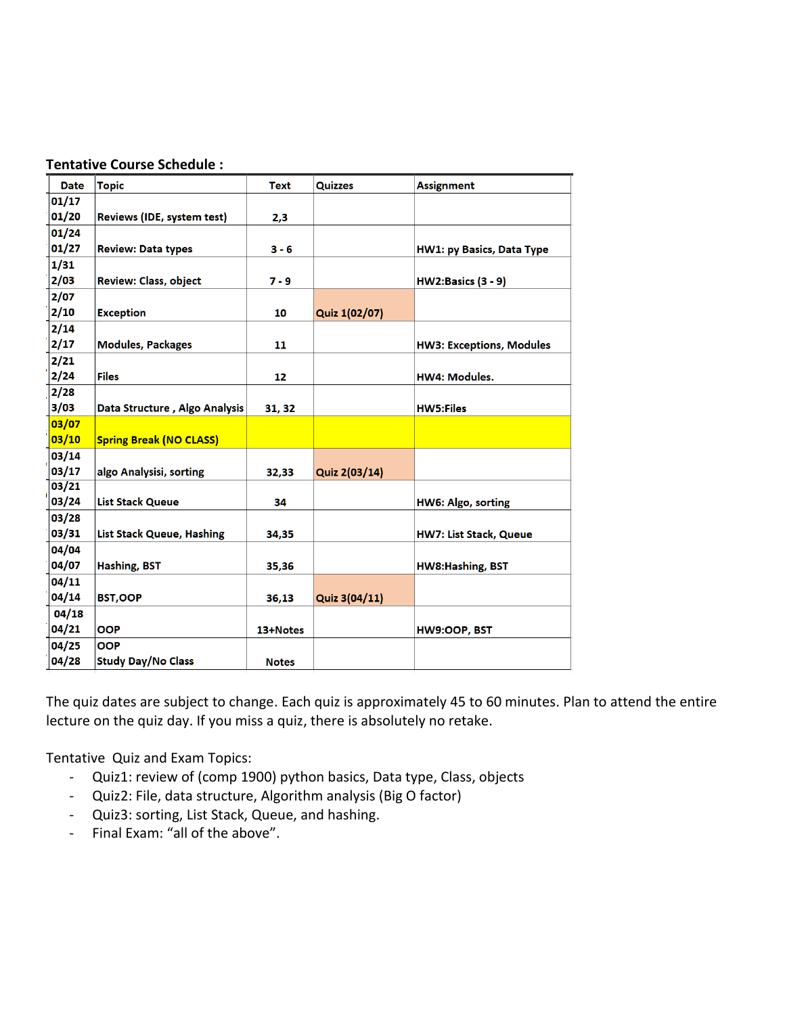| <b>Date</b> | <b>Topic</b>                   | <b>Text</b>  | <b>Quizzes</b> | <b>Assignment</b>                |
|-------------|--------------------------------|--------------|----------------|----------------------------------|
| 01/17       |                                |              |                |                                  |
| 01/20       | Reviews (IDE, system test)     | 2,3          |                |                                  |
| 01/24       |                                |              |                |                                  |
| 01/27       | <b>Review: Data types</b>      | $3 - 6$      |                | <b>HW1: py Basics, Data Type</b> |
| 1/31        |                                |              |                |                                  |
| 2/03        | Review: Class, object          | $7 - 9$      |                | <b>HW2:Basics (3 - 9)</b>        |
| 2/07        |                                |              |                |                                  |
| 2/10        | <b>Exception</b>               | 10           | Quiz 1(02/07)  |                                  |
| 2/14        |                                |              |                |                                  |
| 2/17        | <b>Modules, Packages</b>       | 11           |                | <b>HW3: Exceptions, Modules</b>  |
| 2/21        |                                |              |                |                                  |
| 2/24        | <b>Files</b>                   | 12           |                | <b>HW4: Modules.</b>             |
| 2/28        |                                |              |                |                                  |
| 3/03        | Data Structure, Algo Analysis  | 31, 32       |                | <b>HW5:Files</b>                 |
| 03/07       |                                |              |                |                                  |
| 03/10       | <b>Spring Break (NO CLASS)</b> |              |                |                                  |
| 03/14       |                                |              |                |                                  |
| 03/17       | algo Analysisi, sorting        | 32,33        | Quiz 2(03/14)  |                                  |
| 03/21       |                                |              |                |                                  |
| 03/24       | <b>List Stack Queue</b>        | 34           |                | HW6: Algo, sorting               |
| 03/28       |                                |              |                |                                  |
| 03/31       | List Stack Queue, Hashing      | 34,35        |                | <b>HW7: List Stack, Queue</b>    |
| 04/04       |                                |              |                |                                  |
| 04/07       | <b>Hashing, BST</b>            | 35,36        |                | <b>HW8:Hashing, BST</b>          |
| 04/11       |                                |              |                |                                  |
| 04/14       | <b>BST,OOP</b>                 | 36,13        | Quiz 3(04/11)  |                                  |
| 04/18       |                                |              |                |                                  |
| 04/21       | <b>OOP</b>                     | 13+Notes     |                | HW9:OOP, BST                     |
| 04/25       | <b>OOP</b>                     |              |                |                                  |
| 04/28       | <b>Study Day/No Class</b>      | <b>Notes</b> |                |                                  |

The quiz dates are subject to change. Each quiz is approximately 45 to 60 minutes. Plan to attend the entire lecture on the quiz day. If you miss a quiz, there is absolutely no retake.

Tentative Quiz and Exam Topics:

- Quiz1: review of (comp 1900) python basics, Data type, Class, objects
- Quiz2: File, data structure, Algorithm analysis (Big O factor)
- Quiz3: sorting, List Stack, Queue, and hashing.
- Final Exam: "all of the above".